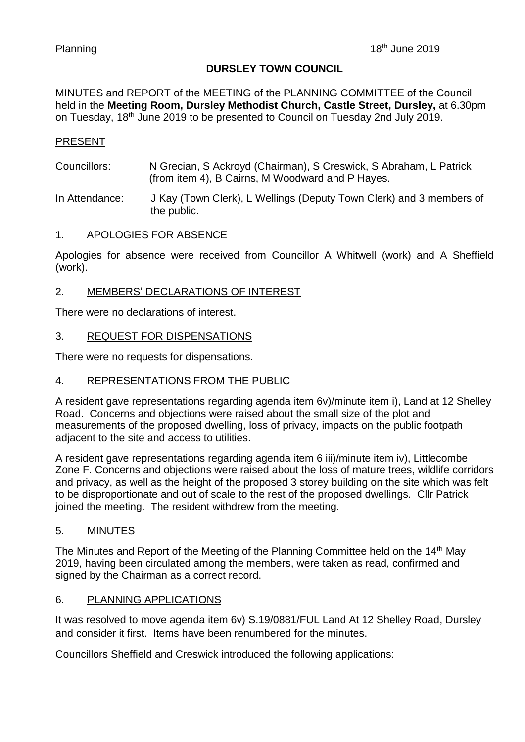### **DURSLEY TOWN COUNCIL**

MINUTES and REPORT of the MEETING of the PLANNING COMMITTEE of the Council held in the **Meeting Room, Dursley Methodist Church, Castle Street, Dursley,** at 6.30pm on Tuesday, 18<sup>th</sup> June 2019 to be presented to Council on Tuesday 2nd July 2019.

# PRESENT

Councillors: N Grecian, S Ackroyd (Chairman), S Creswick, S Abraham, L Patrick (from item 4), B Cairns, M Woodward and P Hayes.

In Attendance: J Kay (Town Clerk), L Wellings (Deputy Town Clerk) and 3 members of the public.

### 1. APOLOGIES FOR ABSENCE

Apologies for absence were received from Councillor A Whitwell (work) and A Sheffield (work).

# 2. MEMBERS' DECLARATIONS OF INTEREST

There were no declarations of interest.

### 3. REQUEST FOR DISPENSATIONS

There were no requests for dispensations.

### 4. REPRESENTATIONS FROM THE PUBLIC

A resident gave representations regarding agenda item 6v)/minute item i), Land at 12 Shelley Road. Concerns and objections were raised about the small size of the plot and measurements of the proposed dwelling, loss of privacy, impacts on the public footpath adjacent to the site and access to utilities.

A resident gave representations regarding agenda item 6 iii)/minute item iv), Littlecombe Zone F. Concerns and objections were raised about the loss of mature trees, wildlife corridors and privacy, as well as the height of the proposed 3 storey building on the site which was felt to be disproportionate and out of scale to the rest of the proposed dwellings. Cllr Patrick joined the meeting. The resident withdrew from the meeting.

### 5. MINUTES

The Minutes and Report of the Meeting of the Planning Committee held on the 14<sup>th</sup> May 2019, having been circulated among the members, were taken as read, confirmed and signed by the Chairman as a correct record.

### 6. PLANNING APPLICATIONS

It was resolved to move agenda item 6v) S.19/0881/FUL Land At 12 Shelley Road, Dursley and consider it first. Items have been renumbered for the minutes.

Councillors Sheffield and Creswick introduced the following applications: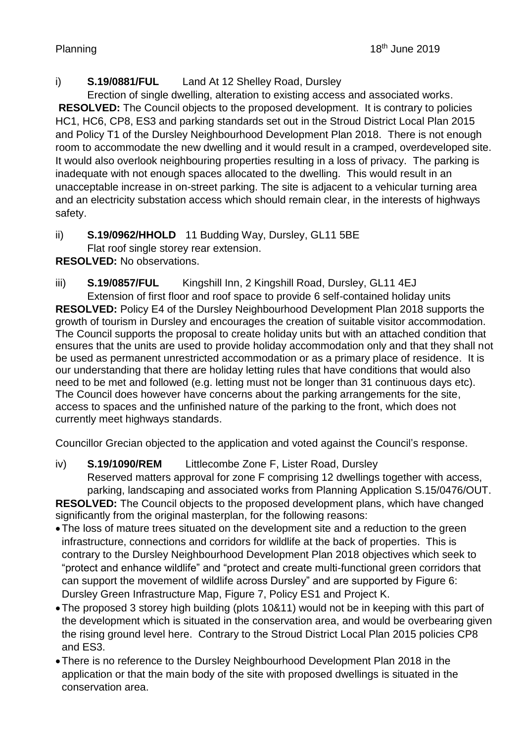# i) **S.19/0881/FUL** Land At 12 Shelley Road, Dursley

Erection of single dwelling, alteration to existing access and associated works. **RESOLVED:** The Council objects to the proposed development. It is contrary to policies HC1, HC6, CP8, ES3 and parking standards set out in the Stroud District Local Plan 2015 and Policy T1 of the Dursley Neighbourhood Development Plan 2018. There is not enough room to accommodate the new dwelling and it would result in a cramped, overdeveloped site. It would also overlook neighbouring properties resulting in a loss of privacy. The parking is inadequate with not enough spaces allocated to the dwelling. This would result in an unacceptable increase in on-street parking. The site is adjacent to a vehicular turning area and an electricity substation access which should remain clear, in the interests of highways safety.

ii) **S.19/0962/HHOLD** 11 Budding Way, Dursley, GL11 5BE Flat roof single storey rear extension.

**RESOLVED:** No observations.

iii) **S.19/0857/FUL** Kingshill Inn, 2 Kingshill Road, Dursley, GL11 4EJ

Extension of first floor and roof space to provide 6 self-contained holiday units **RESOLVED:** Policy E4 of the Dursley Neighbourhood Development Plan 2018 supports the growth of tourism in Dursley and encourages the creation of suitable visitor accommodation. The Council supports the proposal to create holiday units but with an attached condition that ensures that the units are used to provide holiday accommodation only and that they shall not be used as permanent unrestricted accommodation or as a primary place of residence. It is our understanding that there are holiday letting rules that have conditions that would also need to be met and followed (e.g. letting must not be longer than 31 continuous days etc). The Council does however have concerns about the parking arrangements for the site, access to spaces and the unfinished nature of the parking to the front, which does not currently meet highways standards.

Councillor Grecian objected to the application and voted against the Council's response.

iv) **S.19/1090/REM** Littlecombe Zone F, Lister Road, Dursley Reserved matters approval for zone F comprising 12 dwellings together with access, parking, landscaping and associated works from Planning Application S.15/0476/OUT. **RESOLVED:** The Council objects to the proposed development plans, which have changed significantly from the original masterplan, for the following reasons:

- •The loss of mature trees situated on the development site and a reduction to the green infrastructure, connections and corridors for wildlife at the back of properties. This is contrary to the Dursley Neighbourhood Development Plan 2018 objectives which seek to "protect and enhance wildlife" and "protect and create multi-functional green corridors that can support the movement of wildlife across Dursley" and are supported by Figure 6: Dursley Green Infrastructure Map, Figure 7, Policy ES1 and Project K.
- •The proposed 3 storey high building (plots 10&11) would not be in keeping with this part of the development which is situated in the conservation area, and would be overbearing given the rising ground level here. Contrary to the Stroud District Local Plan 2015 policies CP8 and ES3.
- •There is no reference to the Dursley Neighbourhood Development Plan 2018 in the application or that the main body of the site with proposed dwellings is situated in the conservation area.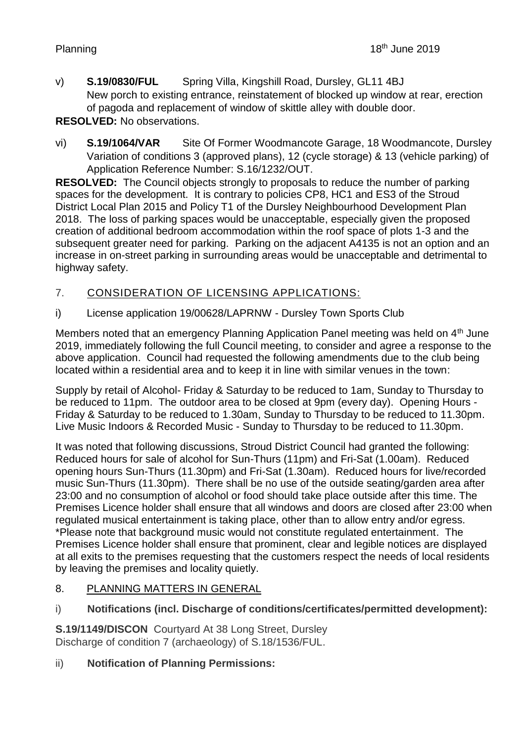v) **S.19/0830/FUL** Spring Villa, Kingshill Road, Dursley, GL11 4BJ New porch to existing entrance, reinstatement of blocked up window at rear, erection of pagoda and replacement of window of skittle alley with double door.

# **RESOLVED:** No observations.

vi) **S.19/1064/VAR** Site Of Former Woodmancote Garage, 18 Woodmancote, Dursley Variation of conditions 3 (approved plans), 12 (cycle storage) & 13 (vehicle parking) of Application Reference Number: S.16/1232/OUT.

**RESOLVED:** The Council objects strongly to proposals to reduce the number of parking spaces for the development. It is contrary to policies CP8, HC1 and ES3 of the Stroud District Local Plan 2015 and Policy T1 of the Dursley Neighbourhood Development Plan 2018. The loss of parking spaces would be unacceptable, especially given the proposed creation of additional bedroom accommodation within the roof space of plots 1-3 and the subsequent greater need for parking. Parking on the adjacent A4135 is not an option and an increase in on-street parking in surrounding areas would be unacceptable and detrimental to highway safety.

# 7. CONSIDERATION OF LICENSING APPLICATIONS:

i) License application 19/00628/LAPRNW - Dursley Town Sports Club

Members noted that an emergency Planning Application Panel meeting was held on 4<sup>th</sup> June 2019, immediately following the full Council meeting, to consider and agree a response to the above application. Council had requested the following amendments due to the club being located within a residential area and to keep it in line with similar venues in the town:

Supply by retail of Alcohol- Friday & Saturday to be reduced to 1am, Sunday to Thursday to be reduced to 11pm. The outdoor area to be closed at 9pm (every day). Opening Hours - Friday & Saturday to be reduced to 1.30am, Sunday to Thursday to be reduced to 11.30pm. Live Music Indoors & Recorded Music - Sunday to Thursday to be reduced to 11.30pm.

It was noted that following discussions, Stroud District Council had granted the following: Reduced hours for sale of alcohol for Sun-Thurs (11pm) and Fri-Sat (1.00am). Reduced opening hours Sun-Thurs (11.30pm) and Fri-Sat (1.30am). Reduced hours for live/recorded music Sun-Thurs (11.30pm). There shall be no use of the outside seating/garden area after 23:00 and no consumption of alcohol or food should take place outside after this time. The Premises Licence holder shall ensure that all windows and doors are closed after 23:00 when regulated musical entertainment is taking place, other than to allow entry and/or egress. \*Please note that background music would not constitute regulated entertainment. The Premises Licence holder shall ensure that prominent, clear and legible notices are displayed at all exits to the premises requesting that the customers respect the needs of local residents by leaving the premises and locality quietly.

- 8. PLANNING MATTERS IN GENERAL
- i) **Notifications (incl. Discharge of conditions/certificates/permitted development):**

**S.19/1149/DISCON** Courtyard At 38 Long Street, Dursley Discharge of condition 7 (archaeology) of S.18/1536/FUL.

# ii) **Notification of Planning Permissions:**